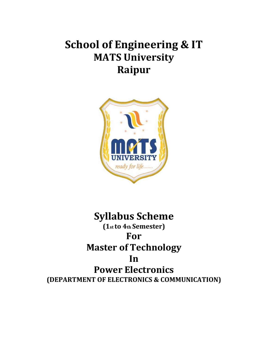# **School of Engineering & IT MATS University Raipur**



# **Syllabus Scheme (1st to 4th Semester) For Master of Technology In Power Electronics (DEPARTMENT OF ELECTRONICS & COMMUNICATION)**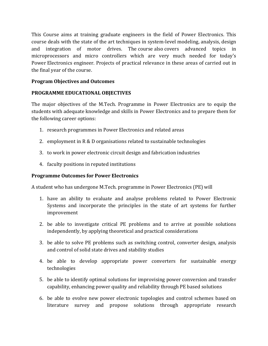This Course aims at training graduate engineers in the field of Power Electronics. This course deals with the state of the art techniques in system-level modeling, analysis, design and integration of motor drives. The course also covers advanced topics in microprocessors and micro controllers which are very much needed for today's Power Electronics engineer. Projects of practical relevance in these areas of carried out in the final year of the course.

# **Program Objectives and Outcomes**

# **PROGRAMME EDUCATIONAL OBJECTIVES**

The major objectives of the M.Tech. Programme in Power Electronics are to equip the students with adequate knowledge and skills in Power Electronics and to prepare them for the following career options:

- 1. research programmes in Power Electronics and related areas
- 2. employment in R & D organisations related to sustainable technologies
- 3. to work in power electronic circuit design and fabrication industries
- 4. faculty positions in reputed institutions

# **Programme Outcomes for Power Electronics**

A student who has undergone M.Tech. programme in Power Electronics (PE) will

- 1. have an ability to evaluate and analyse problems related to Power Electronic Systems and incorporate the principles in the state of art systems for further improvement
- 2. be able to investigate critical PE problems and to arrive at possible solutions independently, by applying theoretical and practical considerations
- 3. be able to solve PE problems such as switching control, converter design, analysis and control of solid state drives and stability studies
- 4. be able to develop appropriate power converters for sustainable energy technologies
- 5. be able to identify optimal solutions for improvising power conversion and transfer capability, enhancing power quality and reliability through PE based solutions
- 6. be able to evolve new power electronic topologies and control schemes based on literature survey and propose solutions through appropriate research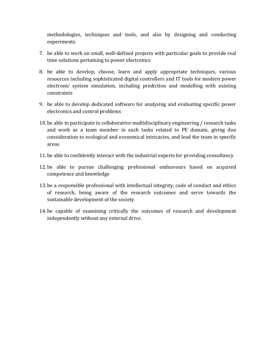methodologies, techniques and tools, and also by designing and conducting experiments

- 7. be able to work on small, well-defined projects with particular goals to provide real time solutions pertaining to power electronics
- 8. be able to develop, choose, learn and apply appropriate techniques, various resources including sophisticated digital controllers and IT tools for modern power electronic system simulation, including prediction and modelling with existing constraints
- 9. be able to develop dedicated software for analysing and evaluating specific power electronics and control problems
- 10. be able to participate in collaborative-multidisciplinary engineering / research tasks and work as a team member in such tasks related to PE domain, giving due consideration to ecological and economical intricacies, and lead the team in specific areas
- 11. be able to confidently interact with the industrial experts for providing consultancy
- 12. be able to pursue challenging professional endeavours based on acquired competence and knowledge
- 13. be a responsible professional with intellectual integrity, code of conduct and ethics of research, being aware of the research outcomes and serve towards the sustainable development of the society
- 14. be capable of examining critically the outcomes of research and development independently without any external drive.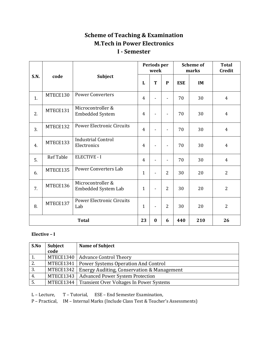# **Scheme of Teaching & Examination M.Tech in Power Electronics I - Semester**

|              |                  |                                             |                |   | Periods per<br>week      |            | <b>Scheme of</b><br>marks | <b>Total</b><br><b>Credit</b> |
|--------------|------------------|---------------------------------------------|----------------|---|--------------------------|------------|---------------------------|-------------------------------|
| S.N.         | code             | Subject                                     | L              | T | $\mathbf{P}$             | <b>ESE</b> | IM                        |                               |
| 1.           | MTECE130         | <b>Power Converters</b>                     | $\overline{4}$ |   | $\blacksquare$           | 70         | 30                        | $\overline{4}$                |
| 2.           | MTECE131         | Microcontroller &<br><b>Embedded System</b> | $\overline{4}$ |   | $\overline{\phantom{0}}$ | 70         | 30                        | $\overline{4}$                |
| 3.           | MTECE132         | <b>Power Electronic Circuits</b>            | $\overline{4}$ |   |                          | 70         | 30                        | $\overline{4}$                |
| 4.           | MTECE133         | <b>Industrial Control</b><br>Electronics    | $\overline{4}$ |   |                          | 70         | 30                        | 4                             |
| 5.           | <b>Ref Table</b> | <b>ELECTIVE - I</b>                         | 4              |   |                          | 70         | 30                        | $\overline{4}$                |
| 6.           | MTECE135         | <b>Power Converters Lab</b>                 | $\mathbf{1}$   |   | $\overline{2}$           | 30         | 20                        | $\overline{2}$                |
| 7.           | MTECE136         | Microcontroller &<br>Embedded System Lab    | $\mathbf{1}$   |   | $\overline{2}$           | 30         | 20                        | $\overline{2}$                |
| 8.           | MTECE137         | <b>Power Electronic Circuits</b><br>Lab     | $\mathbf{1}$   |   | $\overline{2}$           | 30         | 20                        | $\overline{2}$                |
| <b>Total</b> |                  | 23                                          | $\bf{0}$       | 6 | 440                      | 210        | 26                        |                               |

# **Elective – I**

| S.No | Subject   | Name of Subject                                       |
|------|-----------|-------------------------------------------------------|
|      | code      |                                                       |
| 1.   | MTECE1340 | Advance Control Theory                                |
| 2.   | MTECE1341 | Power Systems Operation And Control                   |
| 3.   | MTECE1342 | <b>Energy Auditing, Conservation &amp; Management</b> |
| 4.   | MTECE1343 | <b>Advanced Power System Protection</b>               |
| 5.   |           | MTECE1344   Transient Over Voltages In Power Systems  |

L – Lecture, T – Tutorial, ESE – End Semester Examination,

P – Practical, IM – Internal Marks (Include Class Test & Teacher's Assessments)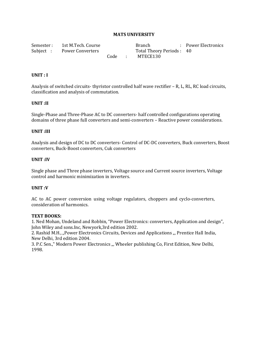Semester : 1st M.Tech. Course Branch Power Electronics Subject : Power Converters Total Theory Periods : 40 Code : MTECE130

#### **UNIT : I**

Analysis of switched circuits- thyristor controlled half wave rectifier – R, L, RL, RC load circuits, classification and analysis of commutation.

#### **UNIT :II**

Single-Phase and Three-Phase AC to DC converters- half controlled configurations operating domains of three phase full converters and semi-converters – Reactive power considerations.

#### **UNIT :III**

Analysis and design of DC to DC converters- Control of DC-DC converters, Buck converters, Boost converters, Buck-Boost converters, Cuk converters

#### **UNIT :IV**

Single phase and Three phase inverters, Voltage source and Current source inverters, Voltage control and harmonic minimization in inverters.

#### **UNIT :V**

AC to AC power conversion using voltage regulators, choppers and cyclo-converters, consideration of harmonics.

#### **TEXT BOOKS:**

1. Ned Mohan, Undeland and Robbin, "Power Electronics: converters, Application and design", John Wiley and sons.Inc, Newyork,3rd edition 2002.

2. Rashid M.H., "Power Electronics Circuits, Devices and Applications ", Prentice Hall India, New Delhi, 3rd edition 2004.

3. P.C Sen.," Modern Power Electronics ... Wheeler publishing Co, First Edition, New Delhi, 1998.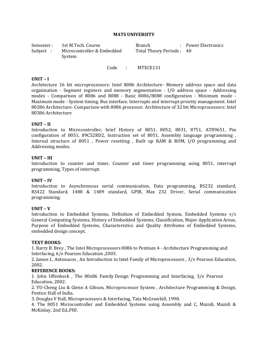| Semester : | 1st M.Tech. Course         | <b>Branch</b>            | : Power Electronics |
|------------|----------------------------|--------------------------|---------------------|
| Subject :  | Microcontroller & Embedded | Total Theory Periods: 40 |                     |
|            | System                     |                          |                     |

Code : MTECE131

#### **UNIT – I**

Architecture 16 bit microprocessors: Intel 8086 Architecture- Memory address space and data organization - Segment registers and memory segmentation - I/O address space - Addressing modes - Comparison of 8086 and 8088 - Basic 8086/8088 configuration - Minimum mode - Maximum mode - System timing. Bus interface. Interrupts and interrupt priority management. Intel 80286 Architecture- Comparison with 8086 processor. Architecture of 32 bit Microprocessors: Intel 80386 Architecture

#### **UNIT – II**

Introduction to Microcontroller, brief History of 8051, 8052, 8031, 8751, AT89651, Pin configuration of 8051, 89C52RD2, Instruction set of 8051, Assembly language programming , Internal structure of 8051 , Power resetting , Built up RAM & ROM, I/O programming and Addressing modes.

#### **UNIT – III**

Introduction to counter and timer, Counter and timer programming using 8051, interrupt programming, Types of interrupt.

#### **UNIT – IV**

Introduction to Asynchronous serial communication, Data programming, RS232 standard, RS422 Standard, 1488 & 1489 standard, GPIB, Max 232 Driver, Serial communication programming.

#### **UNIT – V**

Introduction to Embedded Systems, Definition of Embedded System, Embedded Systems v/s General Computing Systems, History of Embedded Systems, Classification, Major Application Areas, Purpose of Embedded Systems, Characteristics and Quality Attributes of Embedded Systems, embedded design concept.

#### **TEXT BOOKS:**

1. Barry B. Brey , The Intel Microprocessors 8086 to Pentium 4 - Architecture Programming and Interfacing, 6/e Pearson Education ,2003.

2. James L. Antonacos , An Introduction to Intel Family of Microprocessors , 3/e Pearson Education, 2002.

#### **REFERENCE BOOKS:**

1. John Uffenbeck , The 80x86 Family Design Programming and Interfacing, 3/e Pearson Education, 2002.

2. YU-Cheng Liu & Glenn A Gibson, Microprocessor System , Architecture Programming & Design, Pentice Hall of India.

3. Douglas V Hall, Microprocessors & Interfacing, Tata McGrawhill, 1998.

4. The 8051 Microcontroller and Embedded Systems using Assembly and C, Mazidi, Mazidi & McKinlay, 2nd Ed.,PHI.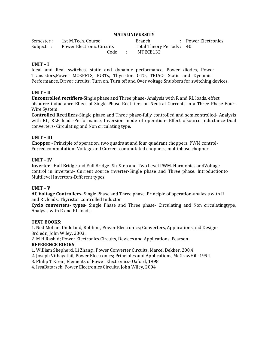| Semester : | 1st M.Tech. Course                 | <b>Branch</b>            | : Power Electronics |
|------------|------------------------------------|--------------------------|---------------------|
|            | Subject: Power Electronic Circuits | Total Theory Periods: 40 |                     |
|            | Code :                             | MTECE132                 |                     |

#### **UNIT – I**

Ideal and Real switches, static and dynamic performance, Power diodes, Power Transistors,Power MOSFETS, IGBTs, Thyristor, GTO, TRIAC- Static and Dynamic Performance, Driver circuits. Turn on, Turn off and Over voltage Snubbers for switching devices.

#### **UNIT – II**

**Uncontrolled rectifiers-**Single phase and Three phase- Analysis with R and RL loads, effect ofsource inductance-Effect of Single Phase Rectifiers on Neutral Currents in a Three Phase Four-Wire System.

**Controlled Rectifiers**-Single phase and Three phase-fully controlled and semicontrolled- Analysis with RL, RLE loads-Performance, Inversion mode of operation- Effect ofsource inductance-Dual converters- Circulating and Non circulating type.

#### **UNIT – III**

**Chopper** - Principle of operation, two quadrant and four quadrant choppers, PWM control-Forced commutation- Voltage and Current commutated choppers, multiphase chopper.

#### **UNIT – IV**

**Inverter** - Half Bridge and Full Bridge- Six Step and Two Level PWM. Harmonics andVoltage control in inverters- Current source inverter-Single phase and Three phase. Introductionto Multilevel Invertors-Different types

#### **UNIT – V**

**AC Voltage Controllers**- Single Phase and Three phase, Principle of operation-analysis with R and RL loads, Thyristor Controlled Inductor

**Cyclo converters- types**- Single Phase and Three phase- Circulating and Non circulatingtype, Analysis with R and RL loads.

#### **TEXT BOOKS:**

1*.* Ned Mohan, Undeland, Robbins, Power Electronics; Converters, Applications and Design-3rd edn, John Wiley, 2003.

2. M H Rashid; Power Electronics Circuits, Devices and Applications, Pearson. **REFERENCE BOOKS:**

1. William Shepherd, Li Zhang., Power Converter Circuits, Marcel Dekker, 200.4

2. Joseph Vithayathil, Power Electronics; Principles and Applications, McGrawHill-1994

3. Philip T Krein, Elements of Power Electronics- Oxford, 1998

4. IssaBatarseh, Power Electronics Circuits, John Wiley, 2004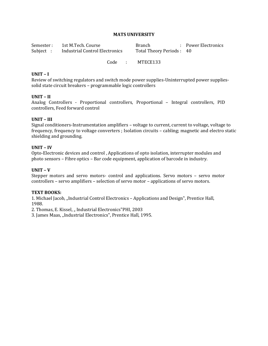| Semester : | 1st M.Tech. Course             | Branch                   | : Power Electronics |
|------------|--------------------------------|--------------------------|---------------------|
| Subject :  | Industrial Control Electronics | Total Theory Periods: 40 |                     |
|            |                                |                          |                     |

Code : MTECE133

#### **UNIT – I**

Review of switching regulators and switch mode power supplies-Uninterrupted power suppliessolid state circuit breakers – programmable logic controllers

#### **UNIT – II**

Analog Controllers - Proportional controllers, Proportional – Integral controllers, PID controllers, Feed forward control

#### **UNIT – III**

Signal conditioners-Instrumentation amplifiers – voltage to current, current to voltage, voltage to frequency, frequency to voltage converters ; Isolation circuits – cabling; magnetic and electro static shielding and grounding.

#### **UNIT – IV**

Opto-Electronic devices and control , Applications of opto isolation, interrupter modules and photo sensors – Fibre optics – Bar code equipment, application of barcode in industry.

#### **UNIT – V**

Stepper motors and servo motors- control and applications. Servo motors – servo motor controllers – servo amplifiers – selection of servo motor – applications of servo motors.

#### **TEXT BOOKS:**

1. Michael Jacob, "Industrial Control Electronics – Applications and Design", Prentice Hall, 1988.

2. Thomas, E. Kissel, "Industrial Electronics"PHI, 2003

3. James Maas, "Industrial Electronics", Prentice Hall, 1995.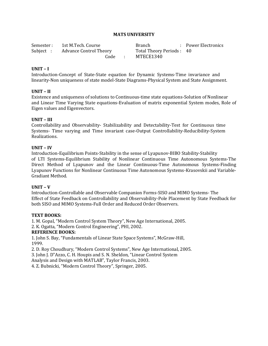| Semester : | 1st M.Tech. Course              | <b>Branch</b>            | : Power Electronics |
|------------|---------------------------------|--------------------------|---------------------|
|            | Subject: Advance Control Theory | Total Theory Periods: 40 |                     |
|            |                                 | Code : MTECE1340         |                     |

#### **UNIT – I**

Introduction-Concept of State-State equation for Dynamic Systems-Time invariance and linearity-Non uniqueness of state model-State Diagrams-Physical System and State Assignment.

#### **UNIT – II**

Existence and uniqueness of solutions to Continuous-time state equations-Solution of Nonlinear and Linear Time Varying State equations-Evaluation of matrix exponential System modes, Role of Eigen values and Eigenvectors.

#### **UNIT – III**

Controllability and Observability- Stabilizability and Detectability-Test for Continuous time Systems- Time varying and Time invariant case-Output Controllability-Reducibility-System Realizations.

#### **UNIT – IV**

Introduction-Equilibrium Points-Stability in the sense of Lyapunov-BIBO Stability-Stability of LTI Systems-Equilibrium Stability of Nonlinear Continuous Time Autonomous Systems-The Direct Method of Lyapunov and the Linear Continuous-Time Autonomous Systems-Finding Lyapunov Functions for Nonlinear Continuous Time Autonomous Systems-Krasovskii and Variable-Gradiant Method.

#### **UNIT – V**

Introduction-Controllable and Observable Companion Forms-SISO and MIMO Systems- The Effect of State Feedback on Controllability and Observability-Pole Placement by State Feedback for both SISO and MIMO Systems-Full Order and Reduced Order Observers.

#### **TEXT BOOKS:**

1. M. Gopal, "Modern Control System Theory", New Age International, 2005.

2. K. Ogatta, "Modern Control Engineering", PHI, 2002.

#### **REFERENCE BOOKS:**

1. John S. Bay, "Fundamentals of Linear State Space Systems", McGraw-Hill, 1999.

2. D. Roy Choudhury, "Modern Control Systems", New Age International, 2005.

3. John J. D"Azzo, C. H. Houpis and S. N. Sheldon, "Linear Control System

Analysis and Design with MATLAB", Taylor Francis, 2003.

4. Z. Bubnicki, "Modern Control Theory", Springer, 2005.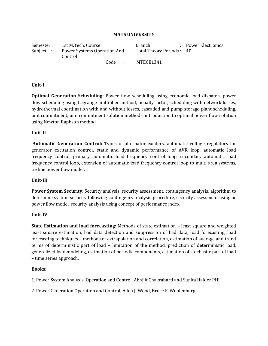Semester : 1st M.Tech. Course **Branch** : Power Electronics Subject : Power Systems Operation And Control Total Theory Periods : 40 Code : MTECE1341

#### **Unit-I**

**Optimal Generation Scheduling:** Power flow scheduling using economic load dispatch, power flow scheduling using Lagrange multiplier method, penalty factor, scheduling with network losses, hydrothermal coordination with and without losses, cascaded and pump storage plant scheduling, unit commitment, unit commitment solution methods, introduction to optimal power flow solution using Newton Raphson method.

#### **Unit-II**

**Automatic Generation Control:** Types of alternator exciters, automatic voltage regulators for generator excitation control, static and dynamic performance of AVR loop, automatic load frequency control, primary automatic load frequency control loop, secondary automatic load frequency control loop, extension of automatic load frequency control loop to multi area systems, tie line power flow model.

#### **Unit-III**

**Power System Security:** Security analysis, security assessment, contingency analysis, algorithm to determine system security following contingency analysis procedure, security assessment using ac power flow model, security analysis using concept of performance index.

#### **Unit-IV**

**State Estimation and load forecasting:** Methods of state estimation – least square and weighted least square estimation, bad data detection and suppression of bad data, load forecasting, load forecasting techniques – methods of extrapolation and correlation, estimation of average and trend terms of deterministic part of load – limitation of the method, prediction of deterministic load, generalized load modeling, estimation of periodic components, estimation of stochastic part of load – time series approach.

#### **Books**:

1. Power System Analysis, Operation and Control, Abhijit Chakrabarti and Sunita Halder PHI.

2. Power Generation Operation and Control, Allen J. Wood, Bruce F. Woolenburg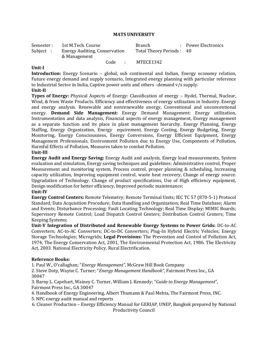| Semester : | 1st M.Tech. Course                                   |      |                          | <b>Branch</b> |  | : Power Electronics |
|------------|------------------------------------------------------|------|--------------------------|---------------|--|---------------------|
| Subject :  | <b>Energy Auditing, Conservation</b><br>& Management |      | Total Theory Periods: 40 |               |  |                     |
|            |                                                      | Code | $\sim$ 10 $\pm$          | MTECE1342     |  |                     |

#### **Unit-I**

**Introduction:** Energy Scenario – global, sub continental and Indian, Energy economy relation, Future energy demand and supply scenario, Integrated energy planning with particular reference to Industrial Sector in India, Captive power units and others –demand v/s supply.

#### **Unit-II**

**Types of Energy:** Physical Aspects of Energy: Classification of energy – Hydel, Thermal, Nuclear, Wind, & from Waste Products. Efficiency and effectiveness of energy utilization in Industry. Energy and energy analysis. Renewable and nonrenewable energy, Conventional and unconventional energy. **Demand Side Management:** Energy Demand Management: Energy utilization, Instrumentation and data analysis, Financial aspects of energy management, Energy management as a separate function and its place in plant management hierarchy. Energy Planning, Energy Staffing, Energy Organization, Energy equirement. Energy Costing, Energy Budgeting, Energy Monitoring, Energy Consciousness, Energy Conversions, Energy Efficient Equipment, Energy Management Professionals, Environment Pollution due to Energy Use, Components of Pollution, Harmful Effects of Pollution, Measures taken to combat Pollution.

#### **Unit-III**

**Energy Audit and Energy Saving:** Energy Audit and analysis, Energy load measurements, System evaluation and simulation, Energy saving techniques and guidelines: Administrative control, Proper Measurement and monitoring system, Process control, proper planning & scheduling, Increasing capacity utilization, Improving equipment control, waste heat recovery, Change of energy source. Upgradation of Technology. Change of product specifications, Use of High efficiency equipment, Design modification for better efficiency, Improved periodic maintenance;

#### **Unit-IV**

**Energy Control Centers:** Remote Telemetry; Remote Terminal Units; IEC TC 57 (870-5-1) Protocol Standard; Data Acquisition Procedure; Data Handling and Organization; Real Time Database; Alarm and Events; Disturbance Processing; Fault Locating Technology; Real Time Display; MIMIC Boards; Supervisory Remote Control; Load Dispatch Control Centers; Distribution Control Centers; Time Keeping Systems;

**Unit-V Integration of Distributed and Renewable Energy Systems to Power Grids:** DC-to-AC Converters; AC-to-AC Converters; DC-to-DC Converters; Plug-In Hybrid Electric Vehicles; Energy Storage Technologies; Microgrids; **Legal Provisions:** The Prevention and Control of Pollution Act, 1974, The Energy Conservation Act, 2001, The Environmental Protection Act, 1986. The Electricity Act, 2003. National Electricity Policy. Rural Electrification.

#### **Reference Books:**

1. Paul W., O'callaghan; "*Energy Management"*, McGraw Hill Book Company

2. Steve Doty, Wayne C. Turner; "*Energy Management Handbook"*, Fairmont Press Inc., GA 30047

3. Barny L. Capehart, Wainey C. Turner, William J. Kennedy; "*Guide to Energy Management*", Fairmont Press Inc., GA 30047

4. Handbook of Energy Engineering, Albert Thumann & Paul Mehta, The Fairmont Press, INC.

5. NPC energy audit manual and reports

6. Cleaner Production – Energy Efficiency Manual for GERIAP, UNEP, Bangkok prepared by National Productivity Council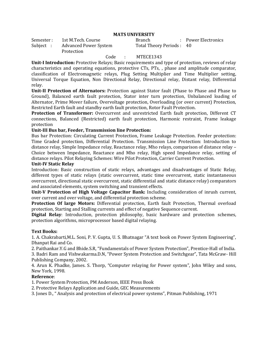| Semester : | 1st M.Tech. Course           |
|------------|------------------------------|
| Subject :  | <b>Advanced Power System</b> |
|            | Protection                   |

Branch : Power Electronics Total Theory Periods : 40

#### Code : MTECE1343

**Unit-I Introduction:** Protective Relays; Basic requirements and type of protection, reviews of relay characteristics and operating equations, protective CTs, PTs, , phase and amplitude comparator, classification of Electromagnetic relays, Plug Setting Multiplier and Time Multiplier setting, Universal Torque Equation, Non Directional Relay, Directional relay, Distant relay, Differential relay.

**Unit-II Protection of Alternators:** Protection against Stator fault (Phase to Phase and Phase to Ground), Balanced earth fault protection, Stator inter turn protection, Unbalanced loading of Alternator, Prime Mover failure, Overvoltage protection, Overloading (or over current) Protection, Restricted Earth fault and standby earth fault protection, Rotor Fault Protection.

**Protection of Transformer:** Overcurrent and unrestricted Earth fault protection, Different CT connections, Balanced (Restricted) earth fault protection, Harmonic restraint, Frame leakage protection

#### **Unit-III Bus bar, Feeder, Transmission line Protection:**

Bus bar Protection: Circulating Current Protection, Frame Leakage Protection. Feeder protection: Time Graded protection, Differential Protection. Transmission Line Protection: Introduction to distance relay, Simple Impedance relay, Reactance relay, Mho relays, comparison of distance relay – Choice between Impedance, Reactance and Mho relay, High speed Impedance relay, setting of distance relays. Pilot Relaying Schemes: Wire Pilot Protection, Carrier Current Protection.

#### **Unit-IV Static Relay**

Introduction: Basic construction of static relays, advantages and disadvantages of Static Relay, different types of static relays (static overcurrent, static time overcurrent, static instantaneous overcurrent, directional static overcurrent, static differential and static distance relay) comparators and associated elements, system switching and transient effects.

**Unit-V Protection of High Voltage Capacitor Bank:** Including consideration of inrush current, over current and over voltage, and differential protection scheme.

**Protection Of large Motors:** Differential protection, Earth fault Protection, Thermal overload protection, Starting and Stalling currents and effect of negative Sequence current.

**Digital Relay**: Introduction, protection philosophy, basic hardware and protection schemes, protection algorithms, microprocessor based digital relaying.

#### **Text Books:**

1. A. Chakrabarti,M.L. Soni, P. V. Gupta, U. S. Bhatnagar "A text book on Power System Engineering", Dhanpat Rai and Co.

2. Paithankar.Y.G and Bhide.S.R, "Fundamentals of Power System Protection", Prentice-Hall of India.

3. Badri Ram and Vishwakarma.D.N, "Power System Protection and Switchgear", Tata McGraw- Hill Publishing Company, 2002.

4. Arun K. Phadke, James. S. Thorp, "Computer relaying for Power system", John Wiley and sons, New York, 1998.

#### **Reference**:

1. Power System Protection, PM Anderson, IEEE Press Book

2. Protective Relays Application and Guide, GEC Measurements

3. Jones D., " Analysis and protection of electrical power systems", Pitman Publishing, 1971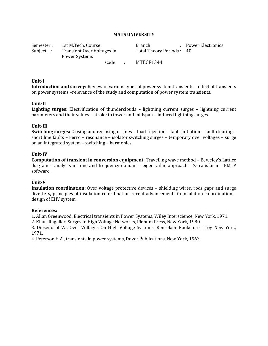| Semester : | 1st M.Tech. Course                          |                 | Branch                   | : Power Electronics |
|------------|---------------------------------------------|-----------------|--------------------------|---------------------|
| Subject :  | Transient Over Voltages In<br>Power Systems |                 | Total Theory Periods: 40 |                     |
|            | Code                                        | <b>Contract</b> | MTECE1344                |                     |

#### **Unit-I**

**Introduction and survey:** Review of various types of power system transients – effect of transients on power systems –relevance of the study and computation of power system transients.

#### **Unit-II**

**Lighting surges:** Electrification of thunderclouds – lightning current surges – lightning current parameters and their values – stroke to tower and midspan – induced lightning surges.

#### **Unit-III**

**Switching surges:** Closing and reclosing of lines – load rejection – fault initiation – fault clearing – short line faults – Ferro – resonance – isolator switching surges – temporary over voltages – surge on an integrated system – switching – harmonics.

#### **Unit-IV**

**Computation of transient in conversion equipment:** Travelling wave method – Beweley's Lattice diagram – analysis in time and frequency domain – eigen value approach – Z-transform – EMTP software.

#### **Unit-V**

**Insulation coordination:** Over voltage protective devices – shielding wires, rods gaps and surge diverters, principles of insulation co ordination-recent advancements in insulation co ordination – design of EHV system.

#### **References:**

1. Allan Greenwood, Electrical transients in Power Systems, Wiley Interscience, New York, 1971.

2. Klaus Ragaller, Surges in High Voltage Networks, Plenum Press, New York, 1980.

3. Diesendrof W., Over Voltages On High Voltage Systems, Renselaer Bookstore, Troy New York, 1971.

4. Peterson H.A., transients in power systems, Dover Publications, New York, 1963.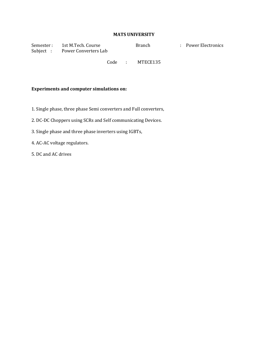Semester : 1st M.Tech. Course Branch : Power Electronics Subject : Power Converters Lab

Code : MTECE135

#### **Experiments and computer simulations on:**

- 1. Single phase, three phase Semi converters and Full converters,
- 2. DC-DC Choppers using SCRs and Self communicating Devices.
- 3. Single phase and three phase inverters using IGBTs,
- 4. AC-AC voltage regulators.
- 5. DC and AC drives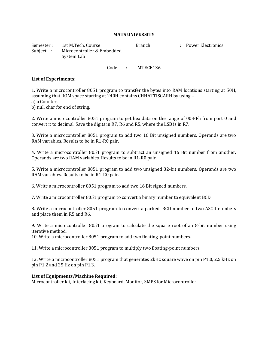Semester : 1st M.Tech. Course Branch Power Electronics Subject : Microcontroller & Embedded System Lab

Code : MTECE136

#### **List of Experiments:**

1. Write a microcontroller 8051 program to transfer the bytes into RAM locations starting at 50H, assuming that ROM space starting at 240H contains CHHATTISGARH by using – a) a Counter,

b) null char for end of string.

2. Write a microcontroller 8051 program to get hex data on the range of 00-FFh from port 0 and convert it to decimal. Save the digits in R7, R6 and R5, where the LSB is in R7.

3. Write a microcontroller 8051 program to add two 16 Bit unsigned numbers. Operands are two RAM variables. Results to be in R1-R0 pair.

4. Write a microcontroller 8051 program to subtract an unsigned 16 Bit number from another. Operands are two RAM variables. Results to be in R1-R0 pair.

5. Write a microcontroller 8051 program to add two unsigned 32-bit numbers. Operands are two RAM variables. Results to be in R1-R0 pair.

6. Write a microcontroller 8051 program to add two 16 Bit signed numbers.

7. Write a microcontroller 8051 program to convert a binary number to equivalent BCD

8. Write a microcontroller 8051 program to convert a packed BCD number to two ASCII numbers and place them in R5 and R6.

9. Write a microcontroller 8051 program to calculate the square root of an 8-bit number using iterative method.

10. Write a microcontroller 8051 program to add two floating-point numbers.

11. Write a microcontroller 8051 program to multiply two floating-point numbers.

12. Write a microcontroller 8051 program that generates 2kHz square wave on pin P1.0, 2.5 kHz on pin P1.2 and 25 Hz on pin P1.3.

#### **List of Equipments/Machine Required:**

Microcontroller kit, Interfacing kit, Keyboard, Monitor, SMPS for Microcontroller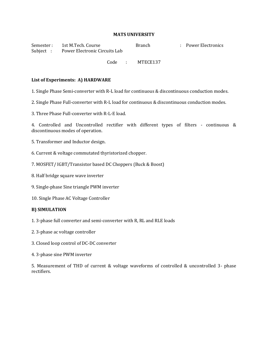Semester : 1st M.Tech. Course Branch Power Electronics Subject : Power Electronic Circuits Lab

Code : MTECE137

#### **List of Experiments: A) HARDWARE**

1. Single Phase Semi-converter with R-L load for continuous & discontinuous conduction modes.

2. Single Phase Full-converter with R-L load for continuous & discontinuous conduction modes.

3. Three Phase Full-converter with R-L-E load.

4. Controlled and Uncontrolled rectifier with different types of filters - continuous & discontinuous modes of operation.

- 5. Transformer and Inductor design.
- 6. Current & voltage commutated thyristorized chopper.
- 7. MOSFET/ IGBT/Transistor based DC Choppers (Buck & Boost)
- 8. Half bridge square wave inverter
- 9. Single-phase Sine triangle PWM inverter
- 10. Single Phase AC Voltage Controller

#### **B) SIMULATION**

- 1. 3-phase full converter and semi-converter with R, RL and RLE loads
- 2. 3-phase ac voltage controller
- 3. Closed loop control of DC-DC converter
- 4. 3-phase sine PWM inverter

5. Measurement of THD of current & voltage waveforms of controlled & uncontrolled 3- phase rectifiers.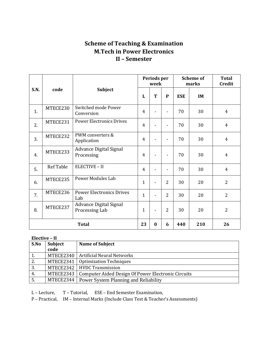# **Scheme of Teaching & Examination M.Tech in Power Electronics II – Semester**

|      |                  |                                                 |                | Periods per<br>week |                              |            | <b>Scheme of</b><br>marks | <b>Total</b><br><b>Credit</b> |
|------|------------------|-------------------------------------------------|----------------|---------------------|------------------------------|------------|---------------------------|-------------------------------|
| S.N. | code             | <b>Subject</b>                                  | L              | T                   | P                            | <b>ESE</b> | IM                        |                               |
| 1.   | MTECE230         | Switched mode Power<br>Conversion               | $\overline{4}$ |                     |                              | 70         | 30                        | 4                             |
| 2.   | MTECE231         | <b>Power Electronics Drives</b>                 | 4              |                     |                              | 70         | 30                        | 4                             |
| 3.   | MTECE232         | PWM converters &<br>Application                 | $\overline{4}$ |                     |                              | 70         | 30                        | 4                             |
| 4.   | MTECE233         | <b>Advance Digital Signal</b><br>Processing     | $\overline{4}$ |                     | $\qquad \qquad \blacksquare$ | 70         | 30                        | $\overline{4}$                |
| 5.   | <b>Ref Table</b> | ELECTIVE - II                                   | 4              |                     | $\overline{a}$               | 70         | 30                        | 4                             |
| 6.   | MTECE235         | <b>Power Modules Lab</b>                        | $\mathbf{1}$   |                     | $\overline{2}$               | 30         | 20                        | $\overline{2}$                |
| 7.   | MTECE236         | <b>Power Electronics Drives</b><br>Lab          | $\mathbf{1}$   |                     | $\overline{2}$               | 30         | 20                        | $\overline{2}$                |
| 8.   | MTECE237         | <b>Advance Digital Signal</b><br>Processing Lab | 1              |                     | $\overline{2}$               | 30         | 20                        | $\overline{2}$                |
|      | <b>Total</b>     |                                                 | 23             | $\bf{0}$            | 6                            | 440        | 210                       | 26                            |

#### **Elective – II**

| S.No | <b>Subject</b> | <b>Name of Subject</b>                             |
|------|----------------|----------------------------------------------------|
|      | code           |                                                    |
| 1.   | MTECE2340      | Artificial Neural Networks                         |
| 2.   | MTECE2341      | <b>Optimization Techniques</b>                     |
| 3.   |                | MTECE2342   HVDC Transmission                      |
| 4.   | MTECE2343      | Computer Aided Design Of Power Electronic Circuits |
| 5.   |                | MTECE2344   Power System Planning and Reliability  |

L – Lecture, T – Tutorial, ESE – End Semester Examination,

P – Practical, IM – Internal Marks (Include Class Test & Teacher's Assessments)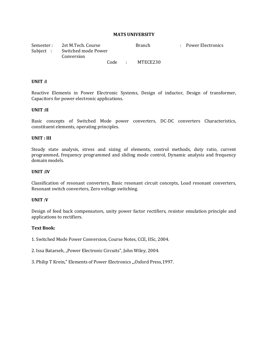Semester : 2st M.Tech. Course **Branch** Branch : Power Electronics Subject : Switched mode Power Conversion Code : MTECE230

#### **UNIT :I**

Reactive Elements in Power Electronic Systems, Design of inductor, Design of transformer, Capacitors for power electronic applications.

#### **UNIT :II**

Basic concepts of Switched Mode power converters, DC-DC converters Characteristics, constituent elements, operating principles.

#### **UNIT : III**

Steady state analysis, stress and sizing of elements, control methods, duty ratio, current programmed, frequency programmed and sliding mode control, Dynamic analysis and frequency domain models.

#### **UNIT :IV**

Classification of resonant converters, Basic resonant circuit concepts, Load resonant converters, Resonant switch converters, Zero voltage switching.

#### **UNIT :V**

Design of feed back compensators, unity power factor rectifiers, resistor emulation principle and applications to rectifiers.

#### **Text Book:**

1. Switched Mode Power Conversion, Course Notes, CCE, IISc, 2004.

2. Issa Batarseh, "Power Electronic Circuits", John Wiley, 2004.

3. Philip T Krein," Elements of Power Electronics "Oxford Press, 1997.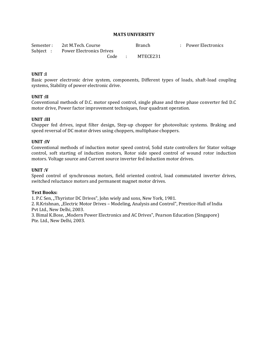| Semester: 2st M.Tech. Course |                                    |  | <b>Branch</b>   | : Power Electronics |
|------------------------------|------------------------------------|--|-----------------|---------------------|
|                              | Subject : Power Electronics Drives |  |                 |                     |
|                              |                                    |  | Code : MTECE231 |                     |

#### **UNIT :I**

Basic power electronic drive system, components, Different types of loads, shaft-load coupling systems, Stability of power electronic drive.

#### **UNIT :II**

Conventional methods of D.C. motor speed control, single phase and three phase converter fed D.C motor drive, Power factor improvement techniques, four quadrant operation.

#### **UNIT :III**

Chopper fed drives, input filter design, Step-up chopper for photovoltaic systems. Braking and speed reversal of DC motor drives using choppers, multiphase choppers.

#### **UNIT :IV**

Conventional methods of induction motor speed control, Solid state controllers for Stator voltage control, soft starting of induction motors, Rotor side speed control of wound rotor induction motors. Voltage source and Current source inverter fed induction motor drives.

#### **UNIT :V**

Speed control of synchronous motors, field oriented control, load commutated inverter drives, switched reluctance motors and permanent magnet motor drives.

#### **Text Books:**

1. P.C Sen, "Thyristor DC Drives", John wiely and sons, New York, 1981.

2. R.Krishnan, "Electric Motor Drives - Modeling, Analysis and Control", Prentice-Hall of India Pvt Ltd., New Delhi, 2003.

3. Bimal K.Bose, "Modern Power Electronics and AC Drives", Pearson Education (Singapore) Pte. Ltd., New Delhi, 2003.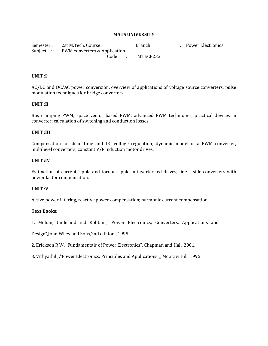Semester : 2st M.Tech. Course **Branch** : Power Electronics Subject : PWM converters & Application Code : MTECE232

#### **UNIT :I**

AC/DC and DC/AC power conversion, overview of applications of voltage source converters, pulse modulation techniques for bridge converters.

#### **UNIT :II**

Bus clamping PWM, space vector based PWM, advanced PWM techniques, practical devices in converter; calculation of switching and conduction losses.

#### **UNIT :III**

Compensation for dead time and DC voltage regulation; dynamic model of a PWM converter, multilevel converters; constant V/F induction motor drives.

#### **UNIT :IV**

Estimation of current ripple and torque ripple in inverter fed drives; line – side converters with power factor compensation.

#### **UNIT :V**

Active power filtering, reactive power compensation; harmonic current compensation.

#### **Text Books:**

1. Mohan, Undeland and Robbins," Power Electronics; Converters, Applications and

Design",John Wiley and Sons,2nd edition , 1995.

2. Erickson R W," Fundamentals of Power Electronics", Chapman and Hall, 2001.

3. Vithyathil J,"Power Electronics: Principles and Applications ", McGraw Hill, 1995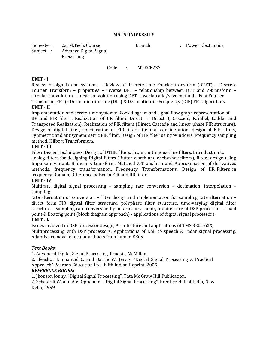| Semester: | 2st M.Tech. Course     | <b>Branch</b> | : Power Electronics |
|-----------|------------------------|---------------|---------------------|
| Subject : | Advance Digital Signal |               |                     |
|           | Processing             |               |                     |

#### Code : MTECE233

#### **UNIT - I**

Review of signals and systems – Review of discrete-time Fourier transform (DTFT) – Discrete Fourier Transform – properties – inverse DFT – relationship between DFT and Z-transform – circular convolution – linear convolution using DFT – overlap add/save method – Fast Fourier Transform (FFT) - Decimation-in-time (DIT) & Decimation-in-Frequency (DIF) FFT algorithms. **UNIT - II**

Implementation of discrete-time systems: Block diagram and signal flow graph representation of IIR and FIR filters, Realization of IIR filters Direct –I, Direct-II, Cascade, Parallel, Ladder and Transposed Realization), Realization of FIR filters (Direct, Cascade and linear phase FIR structure). Design of digital filter, specification of FIR filters, General consideration, design of FIR filters, Symmetric and antisymemmetric FIR filter, Design of FIR filter using Windows, Frequency sampling method, Hilbert Transformers.

#### **UNIT - III**

Filter Design Techniques: Design of DTIIR filters. From continuous time filters, Introduction to analog filters for designing Digital filters (Butter worth and chebyshev filters), filters design using Impulse invariant, Bilinear Z transform, Matched Z-Transform and Approximation of derivatives methods, frequency transformation, Frequency Transformations, Design of IIR Filters in frequency Domain, Difference between FIR and IIR filters.

#### **UNIT - IV**

Multirate digital signal processing – sampling rate conversion – decimation, interpolation – sampling

rate alternation or conversion – filter design and implementation for sampling rate alternation – direct form FIR digital filter structure, polyphase filter structure, time-varying digital filter structure – sampling rate conversion by an arbitrary factor, architecture of DSP processor - fixed point & floating point (block diagram approach) - applications of digital signal processors.

#### **UNIT - V**

Issues involved in DSP processor design, Architecture and applications of TMS 320 C6XX,

Multiprocessing with DSP processors, Applications of DSP to speech & radar signal processing, Adaptive removal of ocular artifacts from human EEGs.

#### *Text Books:*

1. Advanced Digital Signal Processing, Proakis, McMillan

2. Ifeachor Emmanuel C. and Barrie W. Jervis, "Digital Signal Processing A Practical

Approach" Pearson Education Ltd., Fifth Indian Reprint, 2005.

#### *REFERENCE BOOKS:*

1. Jhonson Jonny, "Digital Signal Processing", Tata Mc Graw Hill Publication.

2. Schafer R.W. and A.V. Oppeheim, "Digital Signal Processing", Prentice Hall of India, New Delhi, 1999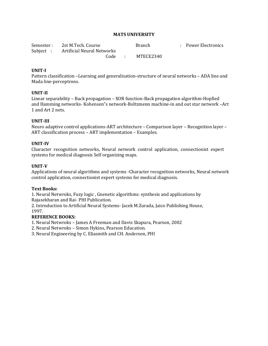| Semester: 2st M.Tech. Course        | <b>Branch</b> | : Power Electronics |
|-------------------------------------|---------------|---------------------|
| Subject: Artificial Neural Networks |               |                     |
| Code :                              | MTECE2340     |                     |

#### **UNIT-I**

Pattern classification –Learning and generalisation-structure of neural networks – ADA line and Mada line-perceptrons.

#### **UNIT-II**

Linear separability – Back propagation – XOR function-Back propagation algorithm-Hopfied and Hamming networks- Kohensen"s network-Boltzmenn machine-in and out star network –Art 1 and Art 2 nets.

#### **UNIT-III**

Neuro adaptive control applications-ART architecture – Comparison layer – Recognition layer – ART classification process – ART implementation – Examples.

#### **UNIT-IV**

Character recognition networks, Neural network control application, connectionist expert systems for medical diagnosis Self organizing maps.

#### **UNIT-V**

Applications of neural algorithms and systems -Character recognition networks, Neural network control application, connectionist expert systems for medical diagnosis.

#### **Text Books:**

1. Neural Netwroks, Fuzy logic , Gnenetic algorithms: synthesis and applications by Rajasekharan and Rai- PHI Publication.

2. Introduction to Artificial Neural Systems- Jacek M.Zurada, Jaico Publishing House, 1997.

#### **REFERENCE BOOKS:**

1. Neural Netwroks – James A Freeman and Davis Skapura, Pearson, 2002

2. Neural Netwroks – Simon Hykins, Pearson Education.

3. Neural Engineering by C. Eliasmith and CH. Anderson, PHI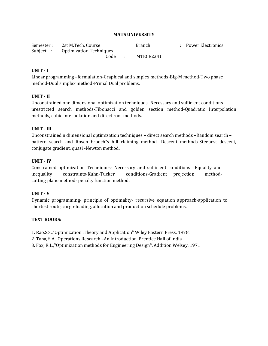| Semester : | 2st M.Tech. Course                | <b>Branch</b> | : Power Electronics |
|------------|-----------------------------------|---------------|---------------------|
|            | Subject : Optimization Techniques |               |                     |
|            | Code                              | MTECE2341     |                     |

#### **UNIT - I**

Linear programming –formulation-Graphical and simplex methods-Big-M method-Two phase method-Dual simplex method-Primal Dual problems.

#### **UNIT - II**

Unconstrained one dimensional optimization techniques -Necessary and sufficient conditions – nrestricted search methods-Fibonacci and golden section method-Quadratic Interpolation methods, cubic interpolation and direct root methods.

#### **UNIT - III**

Unconstrained n dimensional optimization techniques – direct search methods –Random search – pattern search and Rosen brooch"s hill claiming method- Descent methods-Steepest descent, conjugate gradient, quasi -Newton method.

#### **UNIT - IV**

Constrained optimization Techniques- Necessary and sufficient conditions –Equality and inequality constraints-Kuhn-Tucker conditions-Gradient projection methodcutting plane method- penalty function method.

#### **UNIT - V**

Dynamic programming- principle of optimality- recursive equation approach-application to shortest route, cargo-loading, allocation and production schedule problems.

#### **TEXT BOOKS:**

1. Rao,S.S.,"Optimization :Theory and Application" Wiley Eastern Press, 1978.

2. Taha,H.A., Operations Research –An Introduction, Prentice Hall of India.

3. Fox, R.L.,"Optimization methods for Engineering Design", Addition Welsey, 1971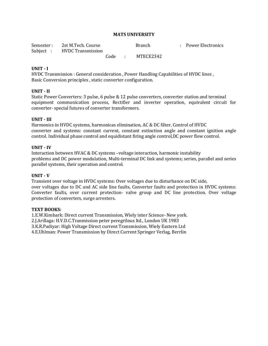| Semester: 2st M.Tech. Course |  | <b>Branch</b>    | : Power Electronics |
|------------------------------|--|------------------|---------------------|
| Subject : HVDC Transmission  |  |                  |                     |
|                              |  | Code : MTECE2342 |                     |

#### **UNIT - I**

HVDC Transmission : General consideration , Power Handling Capabilities of HVDC lines , Basic Conversion principles , static converter configuration.

#### **UNIT - II**

Static Power Converters: 3 pulse, 6 pulse & 12 pulse converters, converter station and terminal equipment communication process, Rectifier and inverter operation, equivalent circuit for converter- special futures of converter transformers.

#### **UNIT - III**

Harmonics in HVDC systems, harmonicas elimination, AC & DC filter, Control of HVDC converter and systems: constant current, constant extinction angle and constant ignition angle control. Individual phase control and equidistant firing angle control,DC power flow control.

#### **UNIT - IV**

Interaction between HVAC & DC systems –voltage interaction, harmonic instability problems and DC power modulation, Multi-terminal DC link and systems; series, parallel and series parallel systems, their operation and control.

#### **UNIT - V**

Transient over voltage in HVDC systems: Over voltages due to disturbance on DC side, over voltages due to DC and AC side line faults, Converter faults and protection in HVDC systems: Converter faults, over current protection- valve group and DC line protection. Over voltage protection of converters, surge arresters.

#### **TEXT BOOKS:**

1.E.W.Kimbark: Direct current Transmission, Wiely inter Science- New york. 2.J.Arillaga: H.V.D.C.Tranmission peter peregrilnus ltd., London UK 1983 3.K.R.Padiyar: High Voltage Direct current Transmission, Wiely Eastern Ltd 4.E.Uhlman: Power Transmission by Direct Current Springer Verlag, Berrlin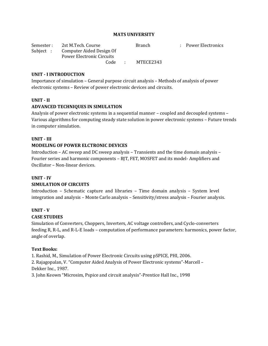| Semester : | 2st M.Tech. Course                | <b>Branch</b> | : Power Electronics |
|------------|-----------------------------------|---------------|---------------------|
|            | Subject: Computer Aided Design Of |               |                     |
|            | Power Electronic Circuits         |               |                     |
|            | Code :                            | MTECE2343     |                     |

#### **UNIT - I INTRODUCTION**

Importance of simulation – General purpose circuit analysis – Methods of analysis of power electronic systems – Review of power electronic devices and circuits.

#### **UNIT - II**

#### **ADVANCED TECHNIQUES IN SIMULATION**

Analysis of power electronic systems in a sequential manner – coupled and decoupled systems – Various algorithms for computing steady state solution in power electronic systems – Future trends in computer simulation.

#### **UNIT - III**

#### **MODELING OF POWER ELCTRONIC DEVICES**

Introduction – AC sweep and DC sweep analysis – Transients and the time domain analysis – Fourier series and harmonic components – BJT, FET, MOSFET and its model- Amplifiers and Oscillator – Non-linear devices.

#### **UNIT - IV**

#### **SIMULATION OF CIRCUITS**

Introduction – Schematic capture and libraries – Time domain analysis – System level integration and analysis – Monte Carlo analysis – Sensitivity/stress analysis – Fourier analysis.

#### **UNIT - V**

#### **CASE STUDIES**

Simulation of Converters, Choppers, Inverters, AC voltage controllers, and Cyclo-converters feeding R, R-L, and R-L-E loads – computation of performance parameters: harmonics, power factor, angle of overlap.

#### **Text Books:**

1. Rashid, M., Simulation of Power Electronic Circuits using pSPICE, PHI, 2006.

2. Rajagopalan, V. "Computer Aided Analysis of Power Electronic systems"-Marcell – Dekker Inc., 1987.

3. John Keown "Microsim, Pspice and circuit analysis"-Prentice Hall Inc., 1998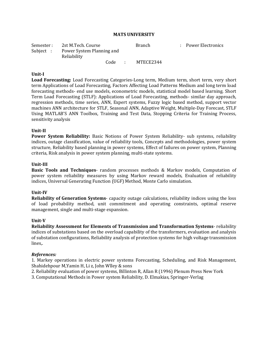| Semester :<br>Subject : | 2st M.Tech. Course<br>Power System Planning and |      |  | <b>Branch</b> | : Power Electronics |
|-------------------------|-------------------------------------------------|------|--|---------------|---------------------|
|                         | Reliability                                     |      |  |               |                     |
|                         |                                                 | Code |  | MTECE2344     |                     |

#### **Unit-I**

**Load Forecasting:** Load Forecasting Categories-Long term, Medium term, short term, very short term Applications of Load Forecasting, Factors Affecting Load Patterns Medium and long term load forecasting methods- end use models, econometric models, statistical model based learning. Short Term Load Forecasting (STLF): Applications of Load Forecasting, methods- similar day approach, regression methods, time series, ANN, Expert systems, Fuzzy logic based method, support vector machines ANN architecture for STLF, Seasonal ANN, Adaptive Weight, Multiple-Day Forecast, STLF Using MATLAB'S ANN Toolbox, Training and Test Data, Stopping Criteria for Training Process, sensitivity analysis

#### **Unit-II**

**Power System Reliability:** Basic Notions of Power System Reliability- sub systems, reliability indices, outage classification, value of reliability tools, Concepts and methodologies, power system structure, Reliability based planning in power systems, Effect of failures on power system, Planning criteria, Risk analysis in power system planning, multi-state systems.

#### **Unit-III**

**Basic Tools and Techniques**- random processes methods & Markov models, Computation of power system reliability measures by using Markov reward models, Evaluation of reliability indices, Universal Generating Function (UGF) Method, Monte Carlo simulation.

#### **Unit-IV**

**Reliability of Generation Systems**- capacity outage calculations, reliability indices using the loss of load probability method, unit commitment and operating constraints, optimal reserve management, single and multi-stage expansion.

#### **Unit-V**

**Reliability Assessment for Elements of Transmission and Transformation Systems**- reliability indices of substations based on the overload capability of the transformers, evaluation and analysis of substation configurations, Reliability analysis of protection systems for high voltage transmission lines,.

#### *References:*

1. Markey operations in electric power systems Forecasting, Scheduling, and Risk Management, Shahidehpour M,Yamin H, Li z, John Wlley & sons

- 2. Reliability evaluation of power systems, Billinton R, Allan R (1996) Plenum Press New York
- 3. Computational Methods in Power system Reliability, D. Elmakias, Springer-Verlag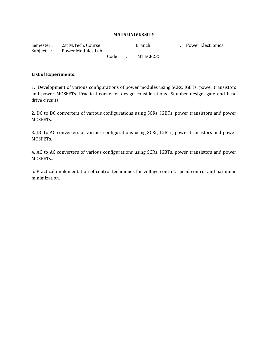| Semester : | 2st M.Tech. Course<br>Subject : Power Modules Lab |        | <b>Branch</b> | : Power Electronics |
|------------|---------------------------------------------------|--------|---------------|---------------------|
|            |                                                   | Code : | MTECE235      |                     |

#### **List of Experiments:**

1. Development of various configurations of power modules using SCRs, IGBTs, power transistors and power MOSFETs. Practical converter design considerations- Snubber design, gate and base drive circuits.

2. DC to DC converters of various configurations using SCRs, IGBTs, power transistors and power MOSFETs.

3. DC to AC converters of various configurations using SCRs, IGBTs, power transistors and power MOSFETs.

4. AC to AC converters of various configurations using SCRs, IGBTs, power transistors and power MOSFETs..

5. Practical implementation of control techniques for voltage control, speed control and harmonic minimization.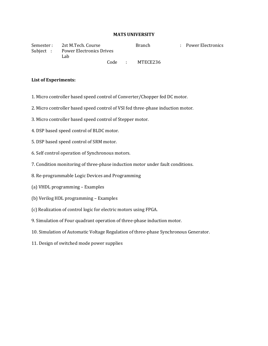Semester : 2st M.Tech. Course **Branch** : Power Electronics Subject : Power Electronics Drives Lab

Code : MTECE236

#### **List of Experiments:**

- 1. Micro controller based speed control of Converter/Chopper fed DC motor.
- 2. Micro controller based speed control of VSI fed three-phase induction motor.
- 3. Micro controller based speed control of Stepper motor.
- 4. DSP based speed control of BLDC motor.
- 5. DSP based speed control of SRM motor.
- 6. Self control operation of Synchronous motors.
- 7. Condition monitoring of three-phase induction motor under fault conditions.
- 8. Re-programmable Logic Devices and Programming
- (a) VHDL programming Examples
- (b) Verilog HDL programming Examples
- (c) Realization of control logic for electric motors using FPGA.
- 9. Simulation of Four quadrant operation of three-phase induction motor.
- 10. Simulation of Automatic Voltage Regulation of three-phase Synchronous Generator.
- 11. Design of switched mode power supplies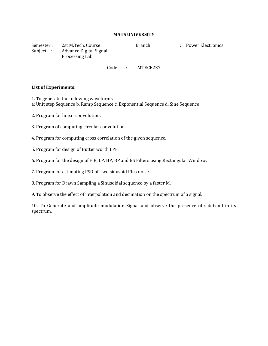| Semester : | 2st M.Tech. Course     | <b>Branch</b> | : Power Electronics |
|------------|------------------------|---------------|---------------------|
| Subject :  | Advance Digital Signal |               |                     |
|            | Processing Lab         |               |                     |

#### Code : MTECE237

#### **List of Experiments:**

1. To generate the following waveforms

a: Unit step Sequence b. Ramp Sequence c. Exponential Sequence d. Sine Sequence

- 2. Program for linear convolution.
- 3. Program of computing circular convolution.
- 4. Program for computing cross correlation of the given sequence.
- 5. Program for design of Butter worth LPF.
- 6. Program for the design of FIR, LP, HP, BP and BS Filters using Rectangular Window.
- 7. Program for estimating PSD of Two sinusoid Plus noise.
- 8. Program for Drawn Sampling a Sinusoidal sequence by a faster M.
- 9. To observe the effect of interpolation and decimation on the spectrum of a signal.

10. To Generate and amplitude modulation Signal and observe the presence of sideband in its spectrum.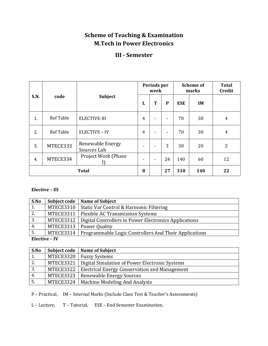# **Scheme of Teaching & Examination M.Tech in Power Electronics**

# **III - Semester**

|             |                  |                                 | Periods per<br>week |   |    |            | <b>Scheme of</b><br>marks | <b>Total</b><br><b>Credit</b> |
|-------------|------------------|---------------------------------|---------------------|---|----|------------|---------------------------|-------------------------------|
| <b>S.N.</b> | code             | <b>Subject</b>                  | L                   | T | P  | <b>ESE</b> | <b>IM</b>                 |                               |
| 1.          | <b>Ref Table</b> | <b>ELECTIVE-III</b>             | 4                   |   |    | 70         | 30                        | 4                             |
| 2.          | <b>Ref Table</b> | <b>ELECTIVE - IV</b>            | 4                   |   |    | 70         | 30                        | 4                             |
| 3.          | MTECE333         | Renewable Energy<br>Sources Lab | ٠                   |   | 3  | 30         | 20                        | 2                             |
| 4.          | MTECE334         | Project Work (Phase             | ٠                   |   | 24 | 140        | 60                        | 12                            |
|             |                  | <b>Total</b>                    | 8                   |   | 27 | 310        | 140                       | 22                            |

# **Elective – III**

| S.No                      |           | Subject code   Name of Subject                                    |
|---------------------------|-----------|-------------------------------------------------------------------|
| 1.                        | MTECE3310 | Static Var Control & Harmonic Filtering                           |
| 2.                        | MTECE3311 | <b>Flexible AC Transmission Systems</b>                           |
| 3.                        |           | MTECE3312   Digital Controllers in Power Electronics Applications |
| 4.                        | MTECE3313 | Power Quality                                                     |
| 5.                        | MTECE3314 | Programmable Logic Controllers And Their Applications             |
| $\Gamma$ loctivo $\Gamma$ |           |                                                                   |

## **Elective – IV**

| S.No | Subject code | <b>Name of Subject</b>                               |
|------|--------------|------------------------------------------------------|
| 1.   | MTECE3320    | <b>Fuzzy Systems</b>                                 |
| 2.   | MTECE3321    | Digital Simulation of Power Electronic Systems       |
| 3.   | MTECE3322    | <b>Electrical Energy Conservation and Management</b> |
| 4.   | MTECE3323    | <b>Renewable Energy Sources</b>                      |
| 5.   |              | MTECE3324   Machine Modeling And Analysis            |

P – Practical, IM – Internal Marks (Include Class Test & Teacher's Assessments)

L – Lecture, T – Tutorial, ESE – End Semester Examination,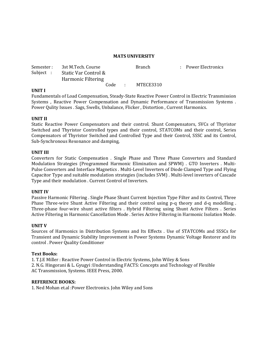| Subject : | Semester : 3st M.Tech. Course<br>Static Var Control &<br>Harmonic Filtering |        | <b>Branch</b> | : Power Electronics |
|-----------|-----------------------------------------------------------------------------|--------|---------------|---------------------|
|           |                                                                             | Code : | MTECE3310     |                     |

#### **UNIT I**

Fundamentals of Load Compensation, Steady-State Reactive Power Control in Electric Transmission Systems , Reactive Power Compensation and Dynamic Performance of Transmission Systems . Power Qulity Issues . Sags, Swells, Unbalance, Flicker , Distortion , Current Harmonics.

#### **UNIT II**

Static Reactive Power Compensators and their control. Shunt Compensators, SVCs of Thyristor Switched and Thyristor Controlled types and their control, STATCOMs and their control, Series Compensators of Thyristor Switched and Controlled Type and their Control, SSSC and its Control, Sub-Synchronous Resonance and damping,

#### **UNIT III**

Converters for Static Compensation . Single Phase and Three Phase Converters and Standard Modulation Strategies (Programmed Harmonic Elimination and SPWM) . GTO Inverters . Multi-Pulse Converters and Interface Magnetics . Multi-Level Inverters of Diode Clamped Type and Flying Capacitor Type and suitable modulation strategies (includes SVM) . Multi-level inverters of Cascade Type and their modulation . Current Control of Inverters.

#### **UNIT IV**

Passive Harmonic Filtering . Single Phase Shunt Current Injection Type Filter and its Control, Three Phase Three-wire Shunt Active Filtering and their control using p-q theory and d-q modelling . Three-phase four-wire shunt active filters . Hybrid Filtering using Shunt Active Filters . Series Active Filtering in Harmonic Cancellation Mode . Series Active Filtering in Harmonic Isolation Mode.

#### **UNIT V**

Sources of Harmonics in Distribution Systems and Its Effects . Use of STATCOMs and SSSCs for Transient and Dynamic Stability Improvement in Power Systems Dynamic Voltage Restorer and its control . Power Quality Conditioner

#### **Text Books:**

1. T.J.E Miller : Reactive Power Control in Electric Systems, John Wiley & Sons 2. N.G. Hingorani & L. Gyugyi :Understanding FACTS: Concepts and Technology of Flexible AC Transmission, Systems. IEEE Press, 2000.

#### **REFERENCE BOOKS:**

1. Ned Mohan et.al :Power Electronics. John Wiley and Sons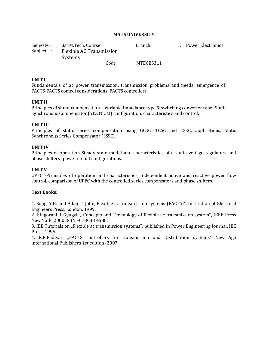| Semester : | 3st M.Tech. Course       |  |        | <b>Branch</b> | : Power Electronics |
|------------|--------------------------|--|--------|---------------|---------------------|
| Subject :  | Flexible AC Transmission |  |        |               |                     |
|            | Systems                  |  |        |               |                     |
|            |                          |  | Code : | MTECE3311     |                     |

#### **UNIT I**

Fundamentals of ac power transmission, transmission problems and needs, emergence of FACTS-FACTS control considerations, FACTS controllers.

#### **UNIT II**

Principles of shunt compensation – Variable Impedance type & switching converter type- Static Synchronous Compensator (STATCOM) configuration, characteristics and control.

#### **UNIT III**

Principles of static series compensation using GCSC, TCSC and TSSC, applications, Static Synchronous Series Compensator (SSSC).

#### **UNIT IV**

Principles of operation-Steady state model and characteristics of a static voltage regulators and phase shifters- power circuit configurations.

#### **UNIT V**

UPFC -Principles of operation and characteristics, independent active and reactive power flow control, comparison of UPFC with the controlled series compensators and phase shifters.

#### **Text Books:**

1. Song, Y.H. and Allan T. John, Flexible ac transmission systems (FACTS)", Institution of Electrical Engineers Press, London, 1999.

2. Hingorani ,L.Gyugyi, " Concepts and Technology of flexible ac transmission system", IEEE Press New York, 2000 ISBN –078033 4588.

3. IEE Tutorials on "Flexible ac transmission systems", published in Power Engineering Journal, IEE Press, 1995.

4. K.R.Padiyar, "FACTS controllers for transmission and Distribution systems" New Age international Publishers 1st edition -2007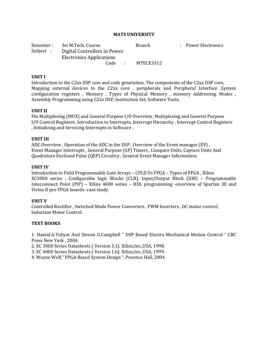| Semester : | 3st M.Tech. Course              | <b>Branch</b> | : Power Electronics |
|------------|---------------------------------|---------------|---------------------|
| Subject :  | Digital Controllers in Power    |               |                     |
|            | <b>Electronics Applications</b> |               |                     |
|            | Code :                          | MTECE3312     |                     |

#### **UNIT I**

Introduction to the C2xx DSP core and code generation, The components of the C2xx DSP core, Mapping external devices to the C2xx core, peripherals and Peripheral Interface ,System configuration registers , Memory , Types of Physical Memory , memory Addressing Modes , Assembly Programming using C2xx DSP, Instruction Set, Software Tools.

#### **UNIT II**

Pin Multiplexing (MUX) and General Purpose I/O Overview, Multiplexing and General Purpose I/O Control Registers .Introduction to Interrupts, Interrupt Hierarchy , Interrupt Control Registers , Initializing and Servicing Interrupts in Software .

#### **UNIT III**

ADC Overview , Operation of the ADC in the DSP , Overview of the Event manager (EV) , Event Manager Interrupts , General Purpose (GP) Timers , Compare Units, Capture Units And Quadrature Enclosed Pulse (QEP) Circuitry , General Event Manager Information.

#### **UNIT IV**

Introduction to Field Programmable Gate Arrays – CPLD Vs FPGA – Types of FPGA , Xilinx XC3000 series , Configurable logic Blocks (CLB), Input/Output Block (IOB) – Programmable Interconnect Point (PIP) – Xilinx 4000 series – HDL programming –overview of Spartan 3E and Virtex II pro FPGA boards- case study.

#### **UNIT V**

Controlled Rectifier , Switched Mode Power Converters , PWM Inverters , DC motor control, Induction Motor Control.

#### **TEXT BOOKS**:

1. Hamid.A.Toliyat And Steven G.Campbell " DSP Based Electro Mechanical Motion Control " CRC Press New York , 2004.

2. XC 3000 Series Datasheets ( Version 3.1). Xilinx,Inc.,USA, 1998.

3. XC 4000 Series Datasheets ( Version 1.6). Xilinx,Inc.,USA, 1999.

4. Wayne Wolf," FPGA Based System Design ", Prentice Hall, 2004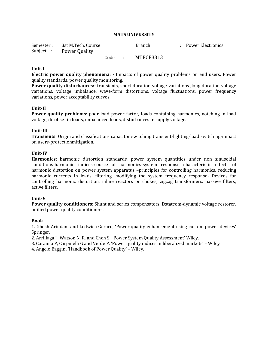| Semester: 3st M.Tech. Course |        | <b>Branch</b> | : Power Electronics |
|------------------------------|--------|---------------|---------------------|
| Subject : Power Quality      |        |               |                     |
|                              | Code : | MTECE3313     |                     |

#### **Unit-I**

**Electric power quality phenomena: -** Impacts of power quality problems on end users, Power quality standards, power quality monitoring.

**Power quality disturbances:-** transients, short duration voltage variations ,long duration voltage variations, voltage imbalance, wave-form distortions, voltage fluctuations, power frequency variations, power acceptability curves.

#### **Unit-II**

**Power quality problems:** poor load power factor, loads containing harmonics, notching in load voltage, dc offset in loads, unbalanced loads, disturbances in supply voltage.

#### **Unit-III**

**Transients:** Origin and classification- capacitor switching transient-lighting-load switching-impact on users-protectionmitigation.

#### **Unit-IV**

**Harmonics:** harmonic distortion standards, power system quantities under non sinusoidal conditions-harmonic indices-source of harmonics-system response characteristics-effects of harmonic distortion on power system apparatus –principles for controlling harmonics, reducing harmonic currents in loads, filtering, modifying the system frequency response- Devices for controlling harmonic distortion, inline reactors or chokes, zigzag transformers, passive filters, active filters.

#### **Unit-V**

**Power quality conditioners:** Shunt and series compensators, Dstatcom-dynamic voltage restorer, unified power quality conditioners.

#### **Book**

1. Ghosh Arindam and Ledwich Gerard, 'Power quality enhancement using custom power devices' Springer.

2. Arrillaga J., Watson N. R. and Chen S., 'Power System Quality Assessment' Wiley.

3. Caramia P, Carpinelli G and Verde P, 'Power quality indices in liberalized markets' – Wiley

4. Angelo Baggini 'Handbook of Power Quality' – Wiley.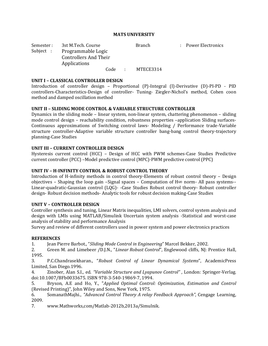Semester : 3st M.Tech. Course **Branch** Branch : Power Electronics Subject : Programmable Logic Controllers And Their Applications

Code : MTECE3314

#### **UNIT I – CLASSICAL CONTROLLER DESIGN**

Introduction of controller design – Proportional (P)-Integral (I)-Derivative (D)-PI-PD - PID controllers-Characteristics-Design of controller- Tuning- Ziegler-Nichol's method, Cohen coon method and damped oscillation method

#### **UNIT II – SLIDING MODE CONTROL & VARIABLE STRUCTURE CONTROLLER**

Dynamics in the sliding mode – linear system, non-linear system, chattering phenomenon – sliding mode control design – reachability condition, robustness properties –application Sliding surfaces-Continuous approximations of Switching control laws- Modeling / Performance trade-Variable structure controller-Adaptive variable structure controller bang-bang control theory-trajectory planning-Case Studies

#### **UNIT III – CURRENT CONTROLLER DESIGN**

Hysteresis current control (HCC) – Design of HCC with PWM schemes-Case Studies Predictive current controller (PCC) –Model predictive control (MPC)-PWM predictive control (PPC)

#### **UNIT IV – H-INFINITY CONTROL & ROBUST CONTROL THEORY**

Introduction of H-infinity methods in control theory-Elements of robust control theory – Design objectives – Shaping the loop gain –Signal spaces – Computation of H∞ norm- All pass systems-- Linear-quadratic-Gaussian control (LQG)- -Case Studies Robust control theory- Robust controller design- Robust decision methods- Analytic tools for robust decision making-Case Studies

#### **UNIT V – CONTROLLER DESIGN**

Controller synthesis and tuning, Linear Matrix inequalities, LMI solvers, control system analysis and design with LMIs using MATLAB/Simulink Uncertain system analysis -Statistical and worst-case analysis of stability and performance Analysis

Survey and review of different controllers used in power system and power electronics practices

#### **REFERENCES**

1. Jean Pierre Barbot., "*Sliding Mode Control in Engineering*" Marcel Bekker, 2002.

2. Green M. and Limebeer /D.J.N., "*Linear Robust Control*", Englewood cliffs, NJ: Prentice Hall, 1995.

3. P.C.Chandrasekharan., "*Robust Control of Linear Dynamical Systems*", AcademicPress Limited, San Diego.1996.

4. Zinober, Alan S.I., ed. *"Variable Structure and Lyapunov Control"* , London: Springer-Verlag. doi:10.1007/BFb0033675. ISBN 978-3-540-19869-7, 1994.

5. Bryson, A.E and Ho, Y., "*Applied Optimal Control: Optimization, Estimation and Control*  (Revised Printing)", John Wiley and Sons, New York, 1975.

6. SomanathMajhi., *"Advanced Control Theory A relay Feedback Approach",* Cengage Learning, 2009.

7. www.Mathworks,com/Matlab-2012b,2013a/Simulnik.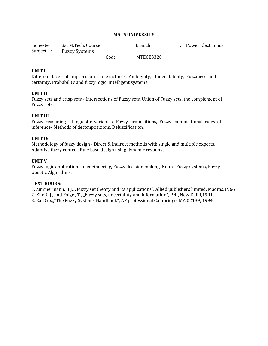| Semester: 3st M.Tech. Course |      | <b>Branch</b> | : Power Electronics |
|------------------------------|------|---------------|---------------------|
| Subject : Fuzzy Systems      |      |               |                     |
|                              | Code | MTECE3320     |                     |

#### **UNIT I**

Different faces of imprecision – inexactness, Ambiguity, Undecidability, Fuzziness and certainty, Probability and fuzzy logic, Intelligent systems.

#### **UNIT II**

Fuzzy sets and crisp sets - Intersections of Fuzzy sets, Union of Fuzzy sets, the complement of Fuzzy sets.

#### **UNIT III**

Fuzzy reasoning - Linguistic variables, Fuzzy propositions, Fuzzy compositional rules of inference- Methods of decompositions, Defuzzification.

#### **UNIT IV**

Methodology of fuzzy design - Direct & Indirect methods with single and multiple experts, Adaptive fuzzy control, Rule base design using dynamic response.

#### **UNIT V**

Fuzzy logic applications to engineering, Fuzzy decision making, Neuro-Fuzzy systems, Fuzzy Genetic Algorithms.

#### **TEXT BOOKS**:

1. Zimmermann, H.J., "Fuzzy set theory and its applications", Allied publishers limited, Madras, 1966

2. Klir, G.J., and Folge., T., "Fuzzy sets, uncertainty and information", PHI, New Delhi,1991.

3. EarlCox,,"The Fuzzy Systems Handbook", AP professional Cambridge, MA 02139, 1994.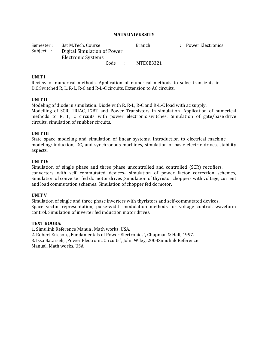| Semester :                                                     | 3st M.Tech. Course |      |                 | <b>Branch</b> | : Power Electronics |
|----------------------------------------------------------------|--------------------|------|-----------------|---------------|---------------------|
| Subject :<br>Digital Simulation of Power<br>Electronic Systems |                    |      |                 |               |                     |
|                                                                |                    | Code | <b>Contract</b> | MTECE3321     |                     |

#### **UNIT I**

Review of numerical methods. Application of numerical methods to solve transients in D.C.Switched R, L, R-L, R-C and R-L-C circuits. Extension to AC circuits.

#### **UNIT II**

Modeling of diode in simulation. Diode with R, R-L, R-C and R-L-C load with ac supply. Modelling of SCR, TRIAC, IGBT and Power Transistors in simulation. Application of numerical methods to R, L, C circuits with power electronic switches. Simulation of gate/base drive circuits, simulation of snubber circuits.

#### **UNIT III**

State space modeling and simulation of linear systems. Introduction to electrical machine modeling: induction, DC, and synchronous machines, simulation of basic electric drives, stability aspects.

#### **UNIT IV**

Simulation of single phase and three phase uncontrolled and controlled (SCR) rectifiers, converters with self commutated devices- simulation of power factor correction schemes, Simulation of converter fed dc motor drives ,Simulation of thyristor choppers with voltage, current and load commutation schemes, Simulation of chopper fed dc motor.

#### **UNIT V**

Simulation of single and three phase inverters with thyristors and self-commutated devices, Space vector representation, pulse-width modulation methods for voltage control, waveform control. Simulation of inverter fed induction motor drives.

#### **TEXT BOOKS**:

1. Simulink Reference Manua , Math works, USA.

2. Robert Ericson, "Fundamentals of Power Electronics", Chapman & Hall, 1997.

3. Issa Batarseh, "Power Electronic Circuits", John Wiley, 2004Simulink Reference Manual, Math works, USA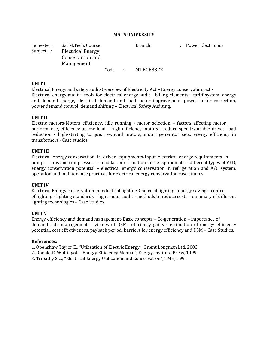Semester : 3st M.Tech. Course **Branch** Branch : Power Electronics Subject : Electrical Energy Conservation and Management Code : MTECE3322

#### **UNIT I**

Electrical Energy and safety audit-Overview of Electricity Act – Energy conservation act - Electrical energy audit – tools for electrical energy audit - billing elements - tariff system, energy and demand charge, electrical demand and load factor improvement, power factor correction, power demand control, demand shifting – Electrical Safety Auditing.

#### **UNIT II**

Electric motors-Motors efficiency, idle running - motor selection – factors affecting motor performance, efficiency at low load – high efficiency motors - reduce speed/variable drives, load reduction - high-starting torque, rewound motors, motor generator sets, energy efficiency in transformers - Case studies.

#### **UNIT III**

Electrical energy conservation in driven equipments-Input electrical energy requirements in pumps – fans and compressors – load factor estimation in the equipments – different types of VFD, energy conservation potential – electrical energy conservation in refrigeration and A/C system, operation and maintenance practices for electrical energy conservation case studies.

#### **UNIT IV**

Electrical Energy conservation in industrial lighting-Choice of lighting - energy saving – control of lighting - lighting standards – light meter audit - methods to reduce costs – summary of different lighting technologies – Case Studies.

#### **UNIT V**

Energy efficiency and demand management-Basic concepts – Co-generation – importance of demand side management – virtues of DSM –efficiency gains - estimation of energy efficiency potential, cost effectiveness, payback period, barriers for energy efficiency and DSM – Case Studies.

#### **References**:

1. Openshaw Taylor E., "Utilisation of Electric Energy", Orient Longman Ltd, 2003

- 2. Donald R. Wulfingoff, "Energy Efficiency Manual", Energy Institute Press, 1999.
- 3. Tripathy S.C., "Electrical Energy Utilization and Conservation", TMH, 1991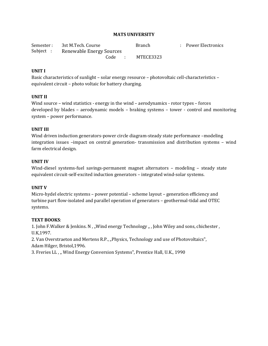| Semester: 3st M.Tech. Course      | <b>Branch</b> | : Power Electronics |
|-----------------------------------|---------------|---------------------|
| Subject: Renewable Energy Sources |               |                     |
| Code                              | MTECE3323     |                     |

## **UNIT I**

Basic characteristics of sunlight – solar energy resource – photovoltaic cell-characteristics – equivalent circuit – photo voltaic for battery charging.

## **UNIT II**

Wind source – wind statistics - energy in the wind – aerodynamics - rotor types – forces developed by blades – aerodynamic models – braking systems – tower - control and monitoring system – power performance.

#### **UNIT III**

Wind driven induction generators-power circle diagram-steady state performance –modeling integration issues –impact on central generation- transmission and distribution systems – wind farm electrical design.

#### **UNIT IV**

Wind-diesel systems-fuel savings-permanent magnet alternators – modeling – steady state equivalent circuit-self-excited induction generators – integrated wind-solar systems.

## **UNIT V**

Micro-hydel electric systems – power potential – scheme layout – generation efficiency and turbine part flow-isolated and parallel operation of generators – geothermal-tidal and OTEC systems.

#### **TEXT BOOKS**:

1. John F.Walker & Jenkins. N, "Wind energy Technology ", John Wiley and sons, chichester, U.K,1997.

2. Van Overstraeton and Mertens R.P., "Physics, Technology and use of Photovoltaics", Adam Hilger, Bristol,1996.

3. Freries LL, "Wind Energy Conversion Systems", Prentice Hall, U.K., 1990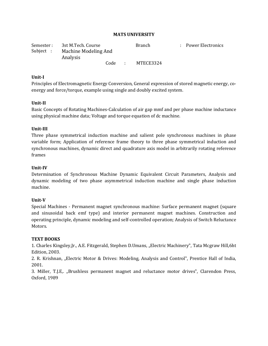| Semester : | 3st M.Tech. Course               |      | <b>Branch</b> | : Power Electronics |
|------------|----------------------------------|------|---------------|---------------------|
| Subject :  | Machine Modeling And<br>Analysis |      |               |                     |
|            |                                  | Code | MTECE3324     |                     |

#### **Unit-I**

Principles of Electromagnetic Energy Conversion, General expression of stored magnetic energy, coenergy and force/torque, example using single and doubly excited system.

#### **Unit-II**

Basic Concepts of Rotating Machines-Calculation of air gap mmf and per phase machine inductance using physical machine data; Voltage and torque equation of dc machine.

#### **Unit-III**

Three phase symmetrical induction machine and salient pole synchronous machines in phase variable form; Application of reference frame theory to three phase symmetrical induction and synchronous machines, dynamic direct and quadrature axis model in arbitrarily rotating reference frames

#### **Unit-IV**

Determination of Synchronous Machine Dynamic Equivalent Circuit Parameters, Analysis and dynamic modeling of two phase asymmetrical induction machine and single phase induction machine.

#### **Unit-V**

Special Machines - Permanent magnet synchronous machine: Surface permanent magnet (square and sinusoidal back emf type) and interior permanent magnet machines. Construction and operating principle, dynamic modeling and self-controlled operation; Analysis of Switch Reluctance Motors.

#### **TEXT BOOKS**

1. Charles Kingsley,Jr., A.E. Fitzgerald, Stephen D.Umans, "Electric Machinery", Tata Mcgraw Hill,6ht Edition, 2003.

2. R. Krishnan, "Electric Motor & Drives: Modeling, Analysis and Control", Prentice Hall of India, 2001.

3. Miller, T.J.E,. "Brushless permanent magnet and reluctance motor drives", Clarendon Press, Oxford, 1989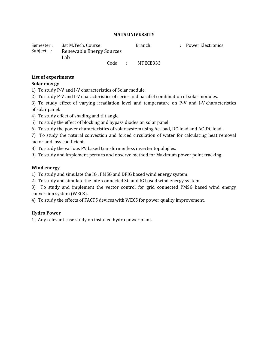Semester : 3st M.Tech. Course **Branch** Branch : Power Electronics Subject : Renewable Energy Sources Lab

Code : MTECE333

## **List of experiments**

## **Solar energy**

1) To study P-V and I-V characteristics of Solar module.

2) To study P-V and I-V characteristics of series and parallel combination of solar modules.

3) To study effect of varying irradiation level and temperature on P-V and I-V characteristics of solar panel.

4) To study effect of shading and tilt angle.

5) To study the effect of blocking and bypass diodes on solar panel.

6) To study the power characteristics of solar system using Ac-load, DC-load and AC-DC load.

7) To study the natural convection and forced circulation of water for calculating heat removal factor and loss coefficient.

8) To study the various PV based transformer less inverter topologies.

9) To study and implement perturb and observe method for Maximum power point tracking.

## **Wind energy**

1) To study and simulate the IG , PMSG and DFIG based wind energy system.

2) To study and simulate the interconnected SG and IG based wind energy system.

3) To study and implement the vector control for grid connected PMSG based wind energy conversion system (WECS).

4) To study the effects of FACTS devices with WECS for power quality improvement.

# **Hydro Power**

1) Any relevant case study on installed hydro power plant.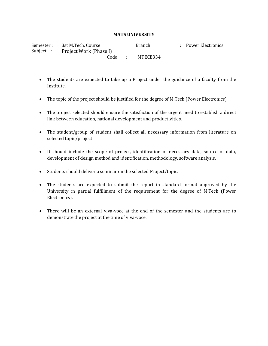Semester : 3st M.Tech. Course **Branch** Branch : Power Electronics Subject : Project Work (Phase I) Code : MTECE334

- The students are expected to take up a Project under the guidance of a faculty from the Institute.
- The topic of the project should be justified for the degree of M.Tech (Power Electronics)
- The project selected should ensure the satisfaction of the urgent need to establish a direct link between education, national development and productivities.
- The student/group of student shall collect all necessary information from literature on selected topic/project.
- It should include the scope of project, identification of necessary data, source of data, development of design method and identification, methodology, software analysis.
- Students should deliver a seminar on the selected Project/topic.
- The students are expected to submit the report in standard format approved by the University in partial fulfillment of the requirement for the degree of M.Tech (Power Electronics).
- There will be an external viva-voce at the end of the semester and the students are to demonstrate the project at the time of viva-voce.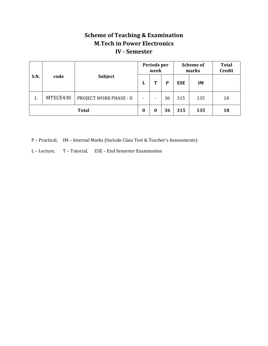# **Scheme of Teaching & Examination M.Tech in Power Electronics IV - Semester**

| S.N.         |          |                         |          | Periods per<br>week | <b>Scheme of</b><br>marks |            |           | <b>Total</b><br><b>Credit</b> |
|--------------|----------|-------------------------|----------|---------------------|---------------------------|------------|-----------|-------------------------------|
|              | code     | <b>Subject</b>          | L        | Т<br>D              |                           | <b>ESE</b> | <b>IM</b> |                               |
| 1.           | MTECE430 | PROJECT WORK PHASE - II | ۰        | ٠                   | 36                        | 315        | 135       | 18                            |
| <b>Total</b> |          |                         | $\bf{0}$ | $\bf{0}$            | 36                        | 315        | 135       | 18                            |

P – Practical, IM – Internal Marks (Include Class Test & Teacher's Assessments)

L – Lecture, T – Tutorial, ESE – End Semester Examination